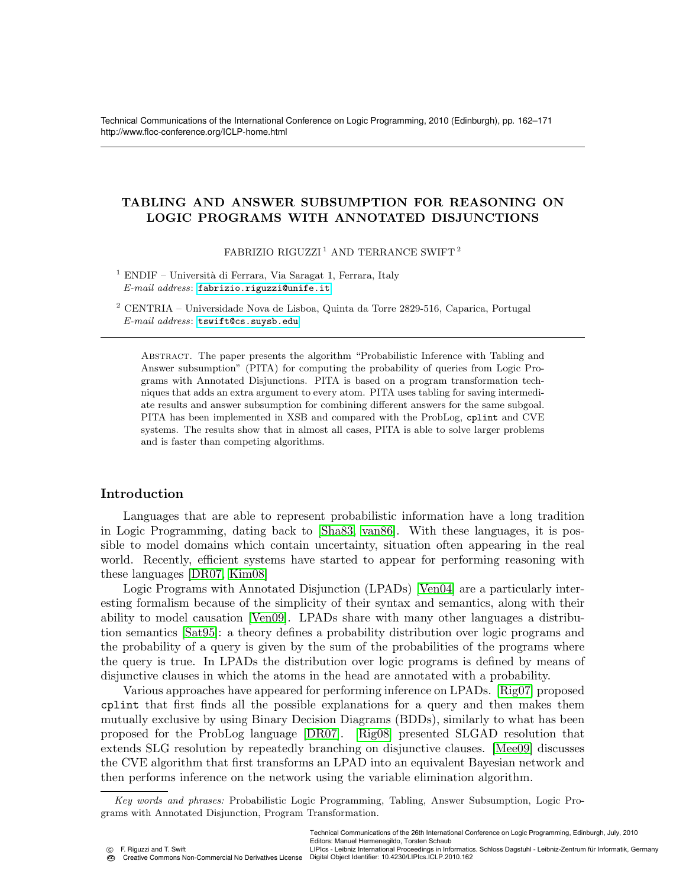Technical Communications of the International Conference on Logic Programming, 2010 (Edinburgh), pp. 162–171 http://www.floc-conference.org/ICLP-home.html

# TABLING AND ANSWER SUBSUMPTION FOR REASONING ON LOGIC PROGRAMS WITH ANNOTATED DISJUNCTIONS

FABRIZIO RIGUZZI<sup>1</sup> AND TERRANCE SWIFT<sup>2</sup>

<sup>1</sup> ENDIF – Università di Ferrara, Via Saragat 1, Ferrara, Italy E-mail address: <fabrizio.riguzzi@unife.it>

 $^2$  CENTRIA – Universidade Nova de Lisboa, Quinta da Torre 2829-516, Caparica, Portugal E-mail address: <tswift@cs.suysb.edu>

Abstract. The paper presents the algorithm "Probabilistic Inference with Tabling and Answer subsumption" (PITA) for computing the probability of queries from Logic Programs with Annotated Disjunctions. PITA is based on a program transformation techniques that adds an extra argument to every atom. PITA uses tabling for saving intermediate results and answer subsumption for combining different answers for the same subgoal. PITA has been implemented in XSB and compared with the ProbLog, cplint and CVE systems. The results show that in almost all cases, PITA is able to solve larger problems and is faster than competing algorithms.

# Introduction

Languages that are able to represent probabilistic information have a long tradition in Logic Programming, dating back to [\[Sha83,](#page-9-0) [van86\]](#page-9-1). With these languages, it is possible to model domains which contain uncertainty, situation often appearing in the real world. Recently, efficient systems have started to appear for performing reasoning with these languages [\[DR07,](#page-9-2) [Kim08\]](#page-9-3)

Logic Programs with Annotated Disjunction (LPADs) [\[Ven04\]](#page-9-4) are a particularly interesting formalism because of the simplicity of their syntax and semantics, along with their ability to model causation [\[Ven09\]](#page-9-5). LPADs share with many other languages a distribution semantics [\[Sat95\]](#page-9-6): a theory defines a probability distribution over logic programs and the probability of a query is given by the sum of the probabilities of the programs where the query is true. In LPADs the distribution over logic programs is defined by means of disjunctive clauses in which the atoms in the head are annotated with a probability.

Various approaches have appeared for performing inference on LPADs. [\[Rig07\]](#page-9-7) proposed cplint that first finds all the possible explanations for a query and then makes them mutually exclusive by using Binary Decision Diagrams (BDDs), similarly to what has been proposed for the ProbLog language [\[DR07\]](#page-9-2). [\[Rig08\]](#page-9-8) presented SLGAD resolution that extends SLG resolution by repeatedly branching on disjunctive clauses. [\[Mee09\]](#page-9-9) discusses the CVE algorithm that first transforms an LPAD into an equivalent Bayesian network and then performs inference on the network using the variable elimination algorithm.

Editors: Manuel Hermenegildo, Torsten Schaub

LIPIcs - Leibniz International Proceedings in Informatics. Schloss Dagstuhl - Leibniz-Zentrum für Informatik, Germany Digital Object Identifier: 10.4230/LIPIcs.ICLP.2010.162

Key words and phrases: Probabilistic Logic Programming, Tabling, Answer Subsumption, Logic Programs with Annotated Disjunction, Program Transformation.

Technical Communications of the 26th International Conference on Logic Programming, Edinburgh, July, 2010

c F. Riguzzi and T. Swift CC<sub>O</sub> Creative Commons Non-Commercial No Derivatives License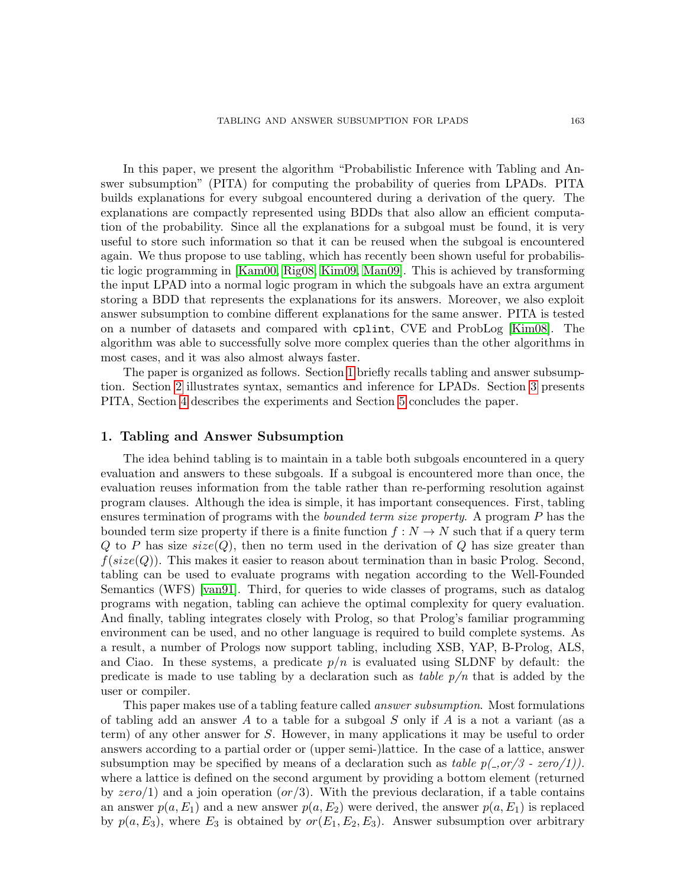In this paper, we present the algorithm "Probabilistic Inference with Tabling and Answer subsumption" (PITA) for computing the probability of queries from LPADs. PITA builds explanations for every subgoal encountered during a derivation of the query. The explanations are compactly represented using BDDs that also allow an efficient computation of the probability. Since all the explanations for a subgoal must be found, it is very useful to store such information so that it can be reused when the subgoal is encountered again. We thus propose to use tabling, which has recently been shown useful for probabilistic logic programming in [\[Kam00,](#page-9-10) [Rig08,](#page-9-8) [Kim09,](#page-9-11) [Man09\]](#page-9-12). This is achieved by transforming the input LPAD into a normal logic program in which the subgoals have an extra argument storing a BDD that represents the explanations for its answers. Moreover, we also exploit answer subsumption to combine different explanations for the same answer. PITA is tested on a number of datasets and compared with cplint, CVE and ProbLog [\[Kim08\]](#page-9-3). The algorithm was able to successfully solve more complex queries than the other algorithms in most cases, and it was also almost always faster.

The paper is organized as follows. Section [1](#page-1-0) briefly recalls tabling and answer subsumption. Section [2](#page-2-0) illustrates syntax, semantics and inference for LPADs. Section [3](#page-4-0) presents PITA, Section [4](#page-6-0) describes the experiments and Section [5](#page-8-0) concludes the paper.

### <span id="page-1-0"></span>1. Tabling and Answer Subsumption

The idea behind tabling is to maintain in a table both subgoals encountered in a query evaluation and answers to these subgoals. If a subgoal is encountered more than once, the evaluation reuses information from the table rather than re-performing resolution against program clauses. Although the idea is simple, it has important consequences. First, tabling ensures termination of programs with the *bounded term size property*. A program P has the bounded term size property if there is a finite function  $f: N \to N$  such that if a query term Q to P has size  $size(Q)$ , then no term used in the derivation of Q has size greater than  $f(size(Q))$ . This makes it easier to reason about termination than in basic Prolog. Second, tabling can be used to evaluate programs with negation according to the Well-Founded Semantics (WFS) [\[van91\]](#page-9-13). Third, for queries to wide classes of programs, such as datalog programs with negation, tabling can achieve the optimal complexity for query evaluation. And finally, tabling integrates closely with Prolog, so that Prolog's familiar programming environment can be used, and no other language is required to build complete systems. As a result, a number of Prologs now support tabling, including XSB, YAP, B-Prolog, ALS, and Ciao. In these systems, a predicate  $p/n$  is evaluated using SLDNF by default: the predicate is made to use tabling by a declaration such as table  $p/n$  that is added by the user or compiler.

This paper makes use of a tabling feature called answer subsumption. Most formulations of tabling add an answer A to a table for a subgoal S only if A is a not a variant (as a term) of any other answer for S. However, in many applications it may be useful to order answers according to a partial order or (upper semi-)lattice. In the case of a lattice, answer subsumption may be specified by means of a declaration such as table  $p(.0r/3 - zero/1)$ . where a lattice is defined on the second argument by providing a bottom element (returned by  $zero/1$  and a join operation  $(or/3)$ . With the previous declaration, if a table contains an answer  $p(a, E_1)$  and a new answer  $p(a, E_2)$  were derived, the answer  $p(a, E_1)$  is replaced by  $p(a, E_3)$ , where  $E_3$  is obtained by  $or(E_1, E_2, E_3)$ . Answer subsumption over arbitrary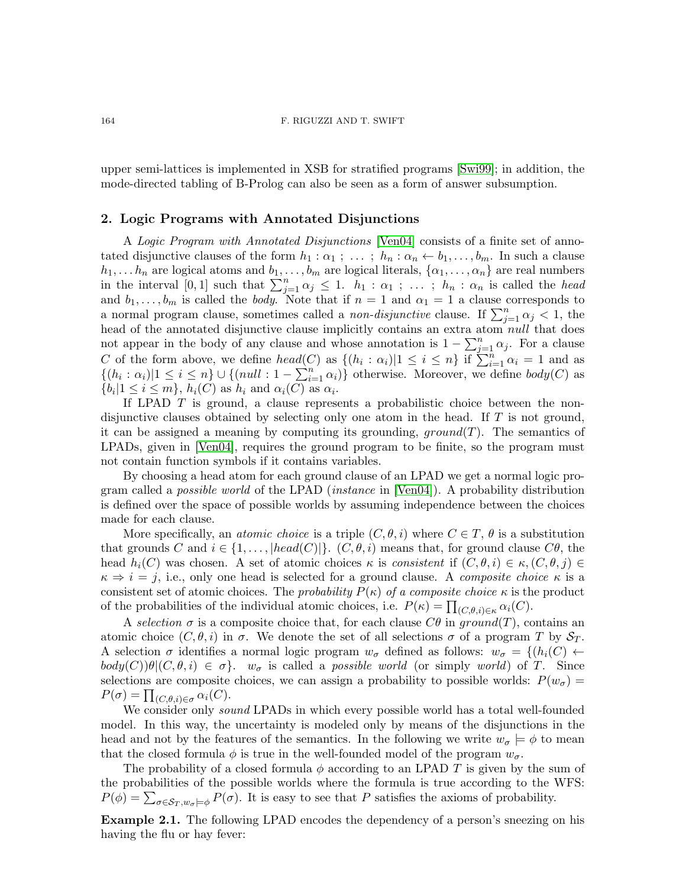#### 164 F. RIGUZZI AND T. SWIFT

upper semi-lattices is implemented in XSB for stratified programs [\[Swi99\]](#page-9-14); in addition, the mode-directed tabling of B-Prolog can also be seen as a form of answer subsumption.

### <span id="page-2-0"></span>2. Logic Programs with Annotated Disjunctions

A Logic Program with Annotated Disjunctions [\[Ven04\]](#page-9-4) consists of a finite set of annotated disjunctive clauses of the form  $h_1 : \alpha_1 ; \ldots ; h_n : \alpha_n \leftarrow b_1, \ldots, b_m$ . In such a clause  $h_1, \ldots h_n$  are logical atoms and  $b_1, \ldots, b_m$  are logical literals,  $\{\alpha_1, \ldots, \alpha_n\}$  are real numbers in the interval [0, 1] such that  $\sum_{j=1}^n \alpha_j \leq 1$ .  $h_1 : \alpha_1 ; \ldots ; h_n : \alpha_n$  is called the head and  $b_1, \ldots, b_m$  is called the body. Note that if  $n = 1$  and  $\alpha_1 = 1$  a clause corresponds to a normal program clause, sometimes called a *non-disjunctive* clause. If  $\sum_{j=1}^{n} \alpha_j < 1$ , the head of the annotated disjunctive clause implicitly contains an extra atom null that does not appear in the body of any clause and whose annotation is  $1 - \sum_{j=1}^{n} \alpha_j$ . For a clause C of the form above, we define  $head(C)$  as  $\{(h_i : \alpha_i)|1 \leq i \leq n\}$  if  $\sum_{i=1}^{n} \alpha_i = 1$  and as  $\{(h_i : \alpha_i)|1 \leq i \leq n\} \cup \{(null : 1 - \sum_{i=1}^{n} \alpha_i)\}\)$  otherwise. Moreover, we define  $body(C)$  as  $\{b_i | 1 \leq i \leq m\}, h_i(C)$  as  $h_i$  and  $\alpha_i(C)$  as  $\alpha_i$ .

If LPAD  $T$  is ground, a clause represents a probabilistic choice between the nondisjunctive clauses obtained by selecting only one atom in the head. If  $T$  is not ground, it can be assigned a meaning by computing its grounding,  $ground(T)$ . The semantics of LPADs, given in [\[Ven04\]](#page-9-4), requires the ground program to be finite, so the program must not contain function symbols if it contains variables.

By choosing a head atom for each ground clause of an LPAD we get a normal logic program called a possible world of the LPAD (instance in [\[Ven04\]](#page-9-4)). A probability distribution is defined over the space of possible worlds by assuming independence between the choices made for each clause.

More specifically, an *atomic choice* is a triple  $(C, \theta, i)$  where  $C \in T$ ,  $\theta$  is a substitution that grounds C and  $i \in \{1, \ldots, |head(C)|\}$ .  $(C, \theta, i)$  means that, for ground clause  $C\theta$ , the head  $h_i(C)$  was chosen. A set of atomic choices  $\kappa$  is consistent if  $(C, \theta, i) \in \kappa$ ,  $(C, \theta, j) \in$  $\kappa \Rightarrow i = j$ , i.e., only one head is selected for a ground clause. A *composite choice*  $\kappa$  is a consistent set of atomic choices. The probability  $P(\kappa)$  of a composite choice  $\kappa$  is the product of the probabilities of the individual atomic choices, i.e.  $P(\kappa) = \prod_{(C,\theta,i)\in\kappa} \alpha_i(C)$ .

A selection  $\sigma$  is a composite choice that, for each clause  $C\theta$  in ground(T), contains an atomic choice  $(C, \theta, i)$  in  $\sigma$ . We denote the set of all selections  $\sigma$  of a program T by  $S_T$ . A selection  $\sigma$  identifies a normal logic program  $w_{\sigma}$  defined as follows:  $w_{\sigma} = \{(h_i(C)) \leftarrow$  $body(C)\theta|(C,\theta,i) \in \sigma$ .  $w_{\sigma}$  is called a *possible world* (or simply world) of T. Since selections are composite choices, we can assign a probability to possible worlds:  $P(w_{\sigma}) =$  $P(\sigma) = \prod_{(C,\theta,i)\in\sigma} \alpha_i(C).$ 

We consider only *sound* LPADs in which every possible world has a total well-founded model. In this way, the uncertainty is modeled only by means of the disjunctions in the head and not by the features of the semantics. In the following we write  $w_{\sigma} \models \phi$  to mean that the closed formula  $\phi$  is true in the well-founded model of the program  $w_{\sigma}$ .

The probability of a closed formula  $\phi$  according to an LPAD T is given by the sum of the probabilities of the possible worlds where the formula is true according to the WFS:  $P(\phi) = \sum_{\sigma \in S_T, w_{\sigma} \models \phi} P(\sigma)$ . It is easy to see that P satisfies the axioms of probability.

<span id="page-2-1"></span>Example 2.1. The following LPAD encodes the dependency of a person's sneezing on his having the flu or hay fever: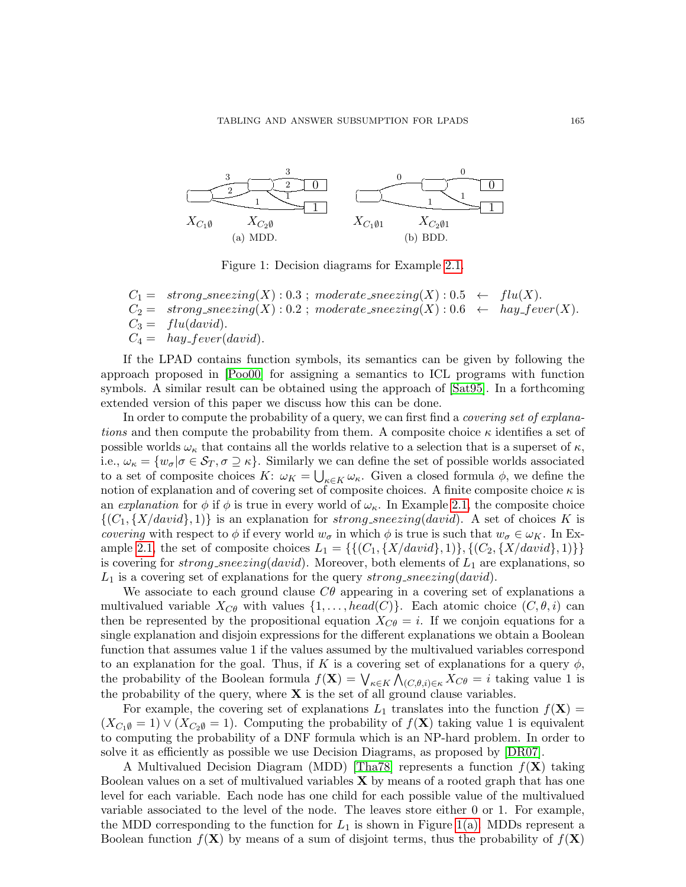<span id="page-3-0"></span>

<span id="page-3-1"></span>Figure 1: Decision diagrams for Example [2.1.](#page-2-1)

 $C_1 = strong\_sneezing(X) : 0.3 ; moderate\_sneezing(X) : 0.5 \leftarrow flu(X).$  $C_2 = strong\_sineezing(X) : 0.2$ ;  $moderate\_sneezing(X) : 0.6 \leftarrow hay\_fever(X)$ .<br>  $C_3 = flu(david)$ .  $flu(david).$  $C_4 = \hbar a y_{\text{-}} f e v e r (david).$ 

If the LPAD contains function symbols, its semantics can be given by following the approach proposed in [\[Poo00\]](#page-9-15) for assigning a semantics to ICL programs with function symbols. A similar result can be obtained using the approach of [\[Sat95\]](#page-9-6). In a forthcoming extended version of this paper we discuss how this can be done.

In order to compute the probability of a query, we can first find a *covering set of explana*tions and then compute the probability from them. A composite choice  $\kappa$  identifies a set of possible worlds  $\omega_{\kappa}$  that contains all the worlds relative to a selection that is a superset of  $\kappa$ , i.e.,  $\omega_{\kappa} = \{w_{\sigma} | \sigma \in S_T, \sigma \supseteq \kappa\}$ . Similarly we can define the set of possible worlds associated to a set of composite choices  $K: \omega_K = \bigcup_{\kappa \in K} \omega_{\kappa}$ . Given a closed formula  $\phi$ , we define the notion of explanation and of covering set of composite choices. A finite composite choice  $\kappa$  is an explanation for  $\phi$  if  $\phi$  is true in every world of  $\omega_{\kappa}$ . In Example [2.1,](#page-2-1) the composite choice  $\{(C_1, \{X/david\}, 1)\}\$ is an explanation for strong sneezing(david). A set of choices K is covering with respect to  $\phi$  if every world  $w_{\sigma}$  in which  $\phi$  is true is such that  $w_{\sigma} \in \omega_K$ . In Ex-ample [2.1,](#page-2-1) the set of composite choices  $L_1 = \{\{(C_1, \{X/david\}, 1)\}, \{(C_2, \{X/david\}, 1)\}\}\$ is covering for *strong\_sneezing(david)*. Moreover, both elements of  $L_1$  are explanations, so  $L_1$  is a covering set of explanations for the query strong sneezing (david).

We associate to each ground clause  $C\theta$  appearing in a covering set of explanations a multivalued variable  $X_{C\theta}$  with values  $\{1,\ldots, head(C)\}\$ . Each atomic choice  $(C, \theta, i)$  can then be represented by the propositional equation  $X_{C\theta} = i$ . If we conjoin equations for a single explanation and disjoin expressions for the different explanations we obtain a Boolean function that assumes value 1 if the values assumed by the multivalued variables correspond to an explanation for the goal. Thus, if K is a covering set of explanations for a query  $\phi$ , the probability of the Boolean formula  $f(\mathbf{X}) = \bigvee_{\kappa \in K} \bigwedge_{(C,\theta,i) \in \kappa} X_{C\theta} = i$  taking value 1 is the probability of the query, where  $X$  is the set of all ground clause variables.

For example, the covering set of explanations  $L_1$  translates into the function  $f(\mathbf{X}) =$  $(X_{C_1\emptyset} = 1) \vee (X_{C_2\emptyset} = 1)$ . Computing the probability of  $f(\mathbf{X})$  taking value 1 is equivalent to computing the probability of a DNF formula which is an NP-hard problem. In order to solve it as efficiently as possible we use Decision Diagrams, as proposed by [\[DR07\]](#page-9-2).

A Multivalued Decision Diagram (MDD) [\[Tha78\]](#page-9-16) represents a function  $f(\mathbf{X})$  taking Boolean values on a set of multivalued variables  $X$  by means of a rooted graph that has one level for each variable. Each node has one child for each possible value of the multivalued variable associated to the level of the node. The leaves store either 0 or 1. For example, the MDD corresponding to the function for  $L_1$  is shown in Figure [1\(a\).](#page-3-0) MDDs represent a Boolean function  $f(\mathbf{X})$  by means of a sum of disjoint terms, thus the probability of  $f(\mathbf{X})$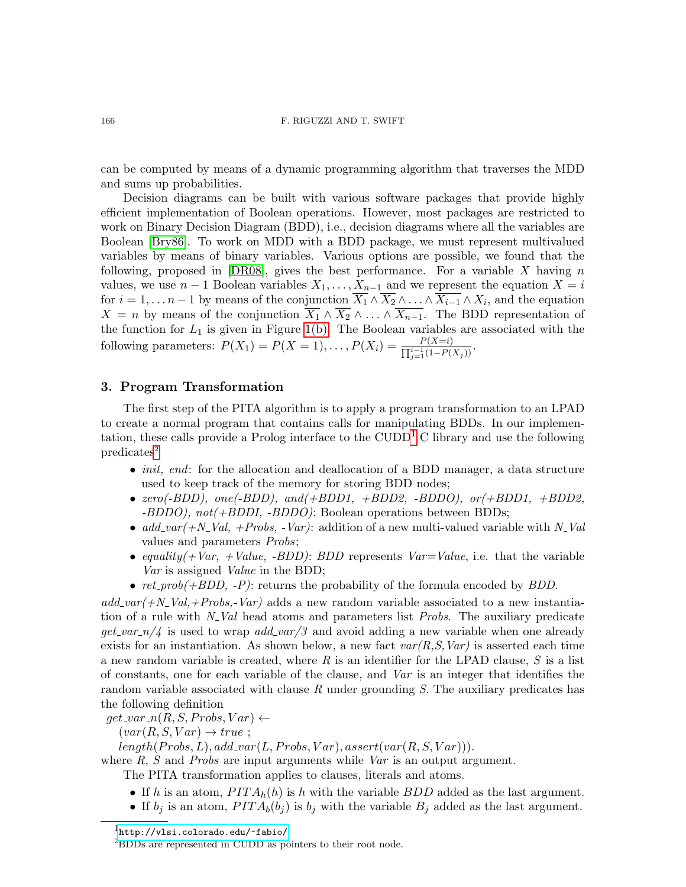#### 166 F. RIGUZZI AND T. SWIFT

can be computed by means of a dynamic programming algorithm that traverses the MDD and sums up probabilities.

Decision diagrams can be built with various software packages that provide highly efficient implementation of Boolean operations. However, most packages are restricted to work on Binary Decision Diagram (BDD), i.e., decision diagrams where all the variables are Boolean [\[Bry86\]](#page-9-17). To work on MDD with a BDD package, we must represent multivalued variables by means of binary variables. Various options are possible, we found that the following, proposed in  $[DR08]$ , gives the best performance. For a variable X having n values, we use  $n-1$  Boolean variables  $X_1, \ldots, X_{n-1}$  and we represent the equation  $X = i$ for  $i = 1, ..., n-1$  by means of the conjunction  $X_1 \wedge X_2 \wedge ... \wedge X_{i-1} \wedge X_i$ , and the equation  $X = n$  by means of the conjunction  $\overline{X_1} \wedge \overline{X_2} \wedge \ldots \wedge \overline{X_{n-1}}$ . The BDD representation of the function for  $L_1$  is given in Figure [1\(b\).](#page-3-1) The Boolean variables are associated with the following parameters:  $P(X_1) = P(X = 1), \ldots, P(X_i) = \frac{P(X=i)}{\prod_{j=1}^{i-1}(1-P(X_j))}$ .

### <span id="page-4-0"></span>3. Program Transformation

The first step of the PITA algorithm is to apply a program transformation to an LPAD to create a normal program that contains calls for manipulating BDDs. In our implementation, these calls provide a Prolog interface to the  $\text{CUDD}^1$  $\text{CUDD}^1$  C library and use the following  $predicates<sup>2</sup>$  $predicates<sup>2</sup>$  $predicates<sup>2</sup>$ 

- *init, end:* for the allocation and deallocation of a BDD manager, a data structure used to keep track of the memory for storing BDD nodes;
- $zero(-BDD)$ ,  $one(-BDD)$ ,  $and(+BDD1, +BDD2, -BDDO)$ ,  $or(+BDD1, +BDD2,$ -BDDO), not(+BDDI, -BDDO): Boolean operations between BDDs;
- $add-var(+N_{-}Val, +Probs, -Var)$ : addition of a new multi-valued variable with N-Val values and parameters Probs;
- equality  $(+Var, +Value, -BDD)$ : BDD represents  $Var=Value$ , i.e. that the variable Var is assigned Value in the BDD;
- $ret\_prob(+BDD, -P)$ : returns the probability of the formula encoded by BDD.

 $add\_var(+N_{-}Val,+Probs,-Var)$  adds a new random variable associated to a new instantiation of a rule with  $N_V$ Val head atoms and parameters list *Probs*. The auxiliary predicate  $get\_var_n/4$  is used to wrap  $add\_var/3$  and avoid adding a new variable when one already exists for an instantiation. As shown below, a new fact  $var(R, S, Var)$  is asserted each time a new random variable is created, where R is an identifier for the LPAD clause, S is a list of constants, one for each variable of the clause, and Var is an integer that identifies the random variable associated with clause  $R$  under grounding  $S$ . The auxiliary predicates has the following definition

 $get\_var_n(R, S, Probs, Var) \leftarrow$ 

 $(var(R, S, Var) \rightarrow true;$ 

 $length(Probs, L), add\_var(L, Probs, Var), assert(var(R, S, Var)).$ 

where  $R$ ,  $S$  and Probs are input arguments while Var is an output argument.

The PITA transformation applies to clauses, literals and atoms.

- If h is an atom,  $PITA_h(h)$  is h with the variable  $BDD$  added as the last argument.
- If  $b_j$  is an atom,  $PITA_b(b_j)$  is  $b_j$  with the variable  $B_j$  added as the last argument.

<span id="page-4-1"></span> $1$ <http://vlsi.colorado.edu/~fabio/>

<span id="page-4-2"></span><sup>2</sup>BDDs are represented in CUDD as pointers to their root node.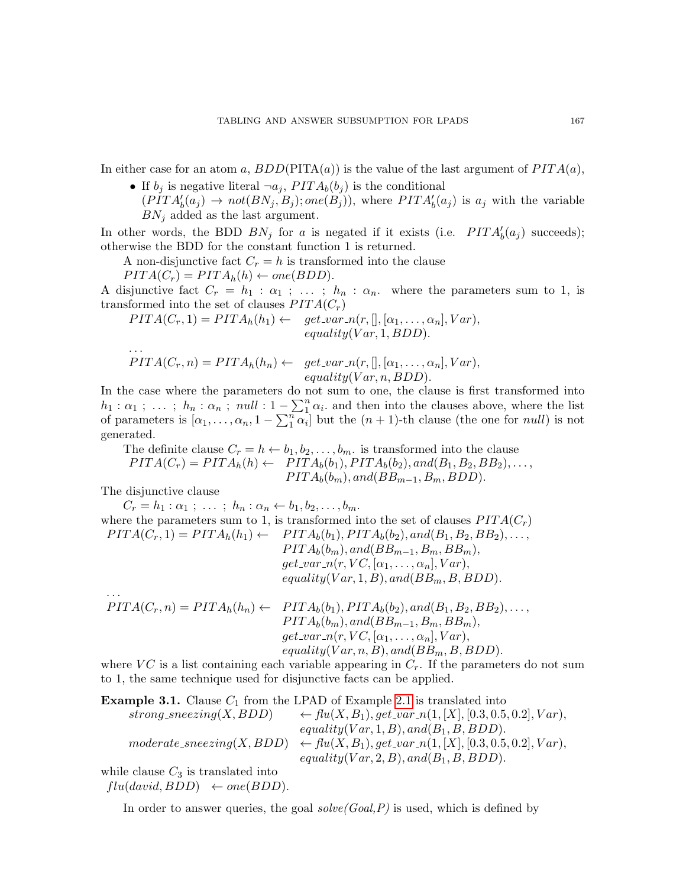In either case for an atom a,  $BDD(PITA(a))$  is the value of the last argument of  $PITA(a)$ ,

• If  $b_i$  is negative literal  $\neg a_i$ ,  $PITA_b(b_i)$  is the conditional  $(PITA'_{b}(a_j) \rightarrow not(BN_j, B_j); one(B_j)),$  where  $PITA'_{b}(a_j)$  is  $a_j$  with the variable  $BN<sub>j</sub>$  added as the last argument.

In other words, the BDD  $BN_j$  for a is negated if it exists (i.e.  $PITA'_b(a_j)$  succeeds); otherwise the BDD for the constant function 1 is returned.

A non-disjunctive fact  $C_r = h$  is transformed into the clause

 $PITA(C_r) = PITA_h(h) \leftarrow one(BDD).$ 

A disjunctive fact  $C_r = h_1 : \alpha_1 ; \ldots ; h_n : \alpha_n$  where the parameters sum to 1, is transformed into the set of clauses  $PITA(C_r)$ 

$$
PITA(C_r, 1) = PITA_h(h_1) \leftarrow get\_var_n(r, [], [\alpha_1, \ldots, \alpha_n], Var),
$$
  
equality(Var, 1, BDD).

$$
PITA(C_r, n) = PITA_h(h_n) \leftarrow get\_var_n(r,[], [\alpha_1, \ldots, \alpha_n], Var),
$$
  
equality(Var, n, BDD).

In the case where the parameters do not sum to one, the clause is first transformed into  $h_1: \alpha_1; \ldots; h_n: \alpha_n; null: 1-\sum_1^n \alpha_i$  and then into the clauses above, where the list of parameters is  $[\alpha_1,\ldots,\alpha_n,1-\sum_{1}^{n}\alpha_i]$  but the  $(n+1)$ -th clause (the one for *null*) is not generated.

The definite clause  $C_r = h \leftarrow b_1, b_2, \ldots, b_m$  is transformed into the clause  $PITA(C_r) = PITA_h(h) \leftarrow PITA_b(b_1), PITA_b(b_2), and (B_1, B_2, BB_2), \ldots,$  $PITA_b(b_m), and (BB_{m-1}, B_m, BDD).$ 

The disjunctive clause

. . .

. . .

 $C_r = h_1 : \alpha_1 ; \ldots ; h_n : \alpha_n \leftarrow b_1, b_2, \ldots, b_m.$ where the parameters sum to 1, is transformed into the set of clauses  $PITA(C_r)$  $PITA(C_r, 1) = PITA_h(h_1) \leftarrow PITA_b(b_1), PITA_b(b_2), and (B_1, B_2, BB_2), \ldots,$  $PITA_b(b_m), and (BB_{m-1}, B_m, BB_m),$  $get\_var_n(r, VC, [\alpha_1, \ldots, \alpha_n], Var),$  $equality(Var, 1, B), and (BB<sub>m</sub>, B, BDD).$ 

$$
PITA(C_r, n) = PITA_h(h_n) \leftarrow \begin{array}{rcl} PITA_b(b_1), PITA_b(b_2), and (B_1, B_2, BB_2), \dots, \\ PITA_b(b_m), and (BB_{m-1}, B_m, BB_m), \\ get\_var_n(r, VC, [\alpha_1, \dots, \alpha_n], Var), \\ equality(Var, n, B), and (BB_m, B, BDD). \end{array}
$$

where  $VC$  is a list containing each variable appearing in  $C_r$ . If the parameters do not sum to 1, the same technique used for disjunctive facts can be applied.

**Example 3.1.** Clause  $C_1$  from the LPAD of Example [2.1](#page-2-1) is translated into  $strong\_s$ g sneezing $(X, BDD)$   $\leftarrow$   $flu(X, B_1), get\_s$ n $(1, [X], [0.3, 0.5, 0.2], Var),$  $equality(Var, 1, B), and (B<sub>1</sub>, B, BDD).$  $moderate\_sneezing(X, BDD) \leftarrow flu(X, B_1), get\_var[n(1, [X], [0.3, 0.5, 0.2], Var),$  $equality(Var, 2, B), and (B<sub>1</sub>, B, BDD).$ 

while clause  $C_3$  is translated into  $flu(david, BDD) \leftarrow one(BDD).$ 

In order to answer queries, the goal  $solve(Goal, P)$  is used, which is defined by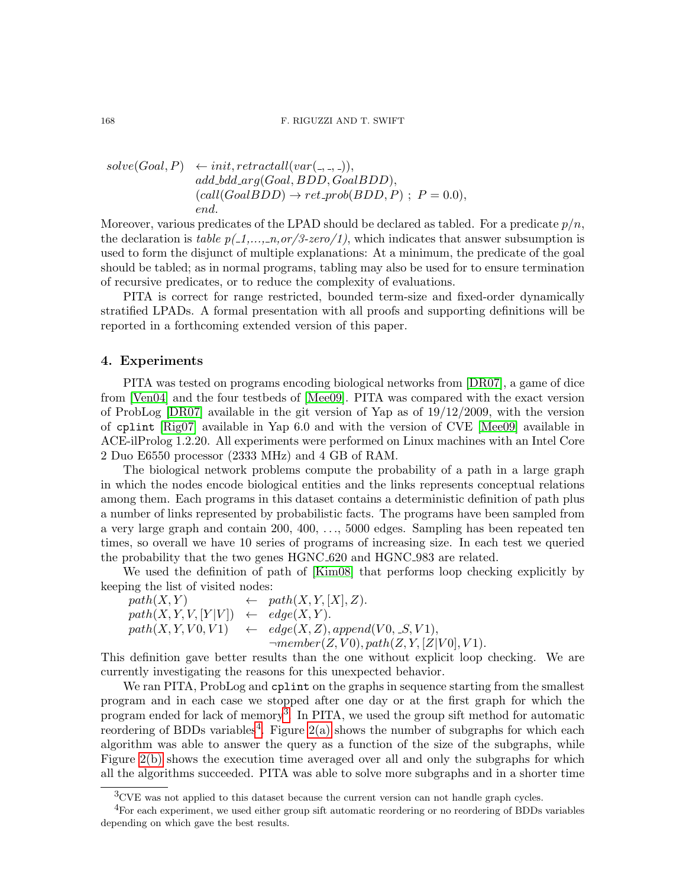$solve(Goal, P) \leftarrow init, retractall(var(\_,\_,\_)),$  $add\_bdd\_arg(Goal, BDD, GoalBDD),$  $(call(GoaIBDD) \rightarrow ret\_prob(BDD, P)$ ;  $P = 0.0$ ), end.

Moreover, various predicates of the LPAD should be declared as tabled. For a predicate  $p/n$ , the declaration is table  $p(1,\ldots,n,or/3\text{-}zero/1)$ , which indicates that answer subsumption is used to form the disjunct of multiple explanations: At a minimum, the predicate of the goal should be tabled; as in normal programs, tabling may also be used for to ensure termination of recursive predicates, or to reduce the complexity of evaluations.

PITA is correct for range restricted, bounded term-size and fixed-order dynamically stratified LPADs. A formal presentation with all proofs and supporting definitions will be reported in a forthcoming extended version of this paper.

### <span id="page-6-0"></span>4. Experiments

PITA was tested on programs encoding biological networks from [\[DR07\]](#page-9-2), a game of dice from [\[Ven04\]](#page-9-4) and the four testbeds of [\[Mee09\]](#page-9-9). PITA was compared with the exact version of ProbLog  $[DR07]$  available in the git version of Yap as of  $19/12/2009$ , with the version of cplint [\[Rig07\]](#page-9-7) available in Yap 6.0 and with the version of CVE [\[Mee09\]](#page-9-9) available in ACE-ilProlog 1.2.20. All experiments were performed on Linux machines with an Intel Core 2 Duo E6550 processor (2333 MHz) and 4 GB of RAM.

The biological network problems compute the probability of a path in a large graph in which the nodes encode biological entities and the links represents conceptual relations among them. Each programs in this dataset contains a deterministic definition of path plus a number of links represented by probabilistic facts. The programs have been sampled from a very large graph and contain 200, 400, . . ., 5000 edges. Sampling has been repeated ten times, so overall we have 10 series of programs of increasing size. In each test we queried the probability that the two genes HGNC\_620 and HGNC\_983 are related.

We used the definition of path of [\[Kim08\]](#page-9-3) that performs loop checking explicitly by keeping the list of visited nodes:

 $path(X, Y) \leftarrow path(X, Y, [X], Z).$  $path(X, Y, V, [Y|V]) \leftarrow edge(X, Y).$  $path(X, Y, V0, V1) \leftarrow edge(X, Z), append(V0, S, V1),$  $\neg member(Z, V0), path(Z, Y, [Z|V0], V1).$ 

This definition gave better results than the one without explicit loop checking. We are currently investigating the reasons for this unexpected behavior.

We ran PITA, ProbLog and cplint on the graphs in sequence starting from the smallest program and in each case we stopped after one day or at the first graph for which the program ended for lack of memory<sup>[3](#page-6-1)</sup>. In PITA, we used the group sift method for automatic reordering of BDDs variables<sup>[4](#page-6-2)</sup>. Figure  $2(a)$  shows the number of subgraphs for which each algorithm was able to answer the query as a function of the size of the subgraphs, while Figure [2\(b\)](#page-7-1) shows the execution time averaged over all and only the subgraphs for which all the algorithms succeeded. PITA was able to solve more subgraphs and in a shorter time

<span id="page-6-2"></span><span id="page-6-1"></span><sup>3</sup>CVE was not applied to this dataset because the current version can not handle graph cycles.

 $^{4}$ For each experiment, we used either group sift automatic reordering or no reordering of BDDs variables depending on which gave the best results.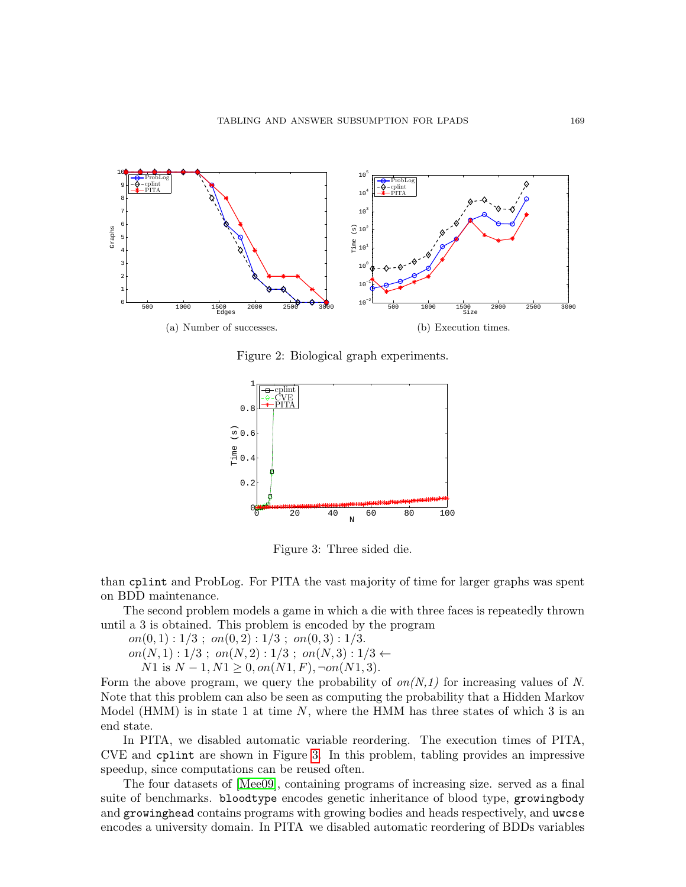<span id="page-7-0"></span>

<span id="page-7-1"></span>Figure 2: Biological graph experiments.



<span id="page-7-2"></span>Figure 3: Three sided die.

than cplint and ProbLog. For PITA the vast majority of time for larger graphs was spent on BDD maintenance.

The second problem models a game in which a die with three faces is repeatedly thrown until a 3 is obtained. This problem is encoded by the program

 $on(0, 1): 1/3$ ;  $on(0, 2): 1/3$ ;  $on(0, 3): 1/3$ . on(N, 1) :  $1/3$ ; on(N, 2) :  $1/3$ ; on(N, 3) :  $1/3 \leftarrow$ 

 $N1$  is  $N-1, N1 \geq 0, on(N1, F), \neg on(N1, 3).$ 

Form the above program, we query the probability of  $\mathfrak{on}(N,1)$  for increasing values of N. Note that this problem can also be seen as computing the probability that a Hidden Markov Model (HMM) is in state 1 at time  $N$ , where the HMM has three states of which 3 is an end state.

In PITA, we disabled automatic variable reordering. The execution times of PITA, CVE and cplint are shown in Figure [3.](#page-7-2) In this problem, tabling provides an impressive speedup, since computations can be reused often.

The four datasets of [\[Mee09\]](#page-9-9), containing programs of increasing size. served as a final suite of benchmarks. bloodtype encodes genetic inheritance of blood type, growingbody and growinghead contains programs with growing bodies and heads respectively, and uwcse encodes a university domain. In PITA we disabled automatic reordering of BDDs variables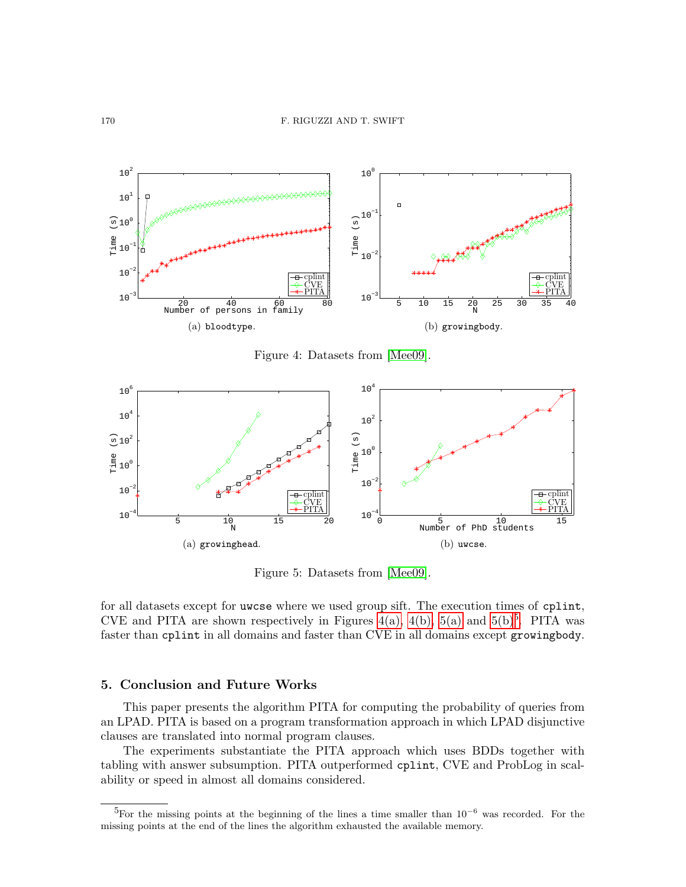<span id="page-8-1"></span>

<span id="page-8-2"></span>Figure 4: Datasets from [\[Mee09\]](#page-9-9).

<span id="page-8-3"></span>

<span id="page-8-4"></span>Figure 5: Datasets from [\[Mee09\]](#page-9-9).

for all datasets except for uwcse where we used group sift. The execution times of cplint, CVE and PITA are shown respectively in Figures [4\(a\),](#page-8-1) [4\(b\),](#page-8-2) [5\(a\)](#page-8-3) and [5\(b\)](#page-8-4)<sup>[5](#page-8-5)</sup>. PITA was faster than cplint in all domains and faster than CVE in all domains except growingbody.

### <span id="page-8-0"></span>5. Conclusion and Future Works

This paper presents the algorithm PITA for computing the probability of queries from an LPAD. PITA is based on a program transformation approach in which LPAD disjunctive clauses are translated into normal program clauses.

The experiments substantiate the PITA approach which uses BDDs together with tabling with answer subsumption. PITA outperformed cplint, CVE and ProbLog in scalability or speed in almost all domains considered.

<span id="page-8-5"></span> $5$ For the missing points at the beginning of the lines a time smaller than 10<sup>-6</sup> was recorded. For the missing points at the end of the lines the algorithm exhausted the available memory.